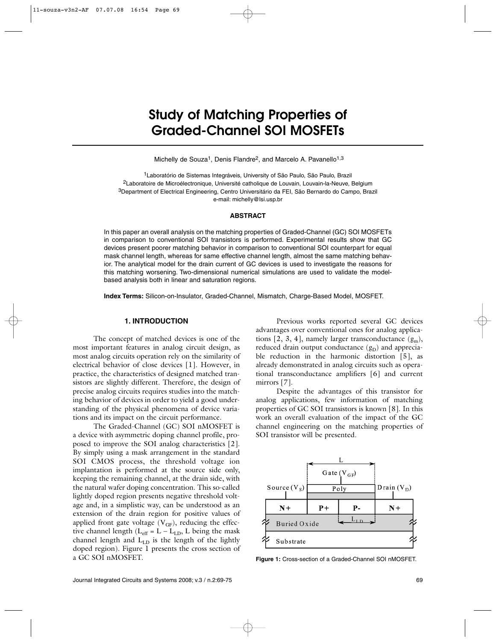# **Study of Matching Properties of Graded-Channel SOI MOSFETs**

Michelly de Souza<sup>1</sup>, Denis Flandre<sup>2</sup>, and Marcelo A. Pavanello<sup>1,3</sup>

1Laboratório de Sistemas Integráveis, University of São Paulo, São Paulo, Brazil 2Laboratoire de Microélectronique, Université catholique de Louvain, Louvain-la-Neuve, Belgium 3Department of Electrical Engineering, Centro Universitário da FEI, São Bernardo do Campo, Brazil e-mail: michelly@lsi.usp.br

#### **ABSTRACT**

In this paper an overall analysis on the matching properties of Graded-Channel (GC) SOI MOSFETs in comparison to conventional SOI transistors is performed. Experimental results show that GC devices present poorer matching behavior in comparison to conventional SOI counterpart for equal mask channel length, whereas for same effective channel length, almost the same matching behavior. The analytical model for the drain current of GC devices is used to investigate the reasons for this matching worsening. Two-dimensional numerical simulations are used to validate the modelbased analysis both in linear and saturation regions.

**Index Terms:** Silicon-on-Insulator, Graded-Channel, Mismatch, Charge-Based Model, MOSFET.

## **1. INTRODUCTION**

The concept of matched devices is one of the most important features in analog circuit design, as most analog circuits operation rely on the similarity of electrical behavior of close devices [1]. However, in practice, the characteristics of designed matched transistors are slightly different. Therefore, the design of precise analog circuits requires studies into the matching behavior of devices in order to yield a good understanding of the physical phenomena of device variations and its impact on the circuit performance.

The Graded-Channel (GC) SOI nMOSFET is a device with asymmetric doping channel profile, proposed to improve the SOI analog characteristics [2]. By simply using a mask arrangement in the standard SOI CMOS process, the threshold voltage ion implantation is performed at the source side only, keeping the remaining channel, at the drain side, with the natural wafer doping concentration. This so-called lightly doped region presents negative threshold voltage and, in a simplistic way, can be understood as an extension of the drain region for positive values of applied front gate voltage  $(V_{GF})$ , reducing the effective channel length ( $L_{eff} = L - L_{LD}$ , L being the mask channel length and  $L_{LD}$  is the length of the lightly doped region). Figure 1 presents the cross section of a GC SOI nMOSFET.

Previous works reported several GC devices advantages over conventional ones for analog applications [2, 3, 4], namely larger transconductance  $(g_m)$ , reduced drain output conductance  $(g_D)$  and appreciable reduction in the harmonic distortion [5], as already demonstrated in analog circuits such as operational transconductance amplifiers [6] and current mirrors [7].

Despite the advantages of this transistor for analog applications, few information of matching properties of GC SOI transistors is known [8]. In this work an overall evaluation of the impact of the GC channel engineering on the matching properties of SOI transistor will be presented.



**Figure 1:** Cross-section of a Graded-Channel SOI nMOSFET.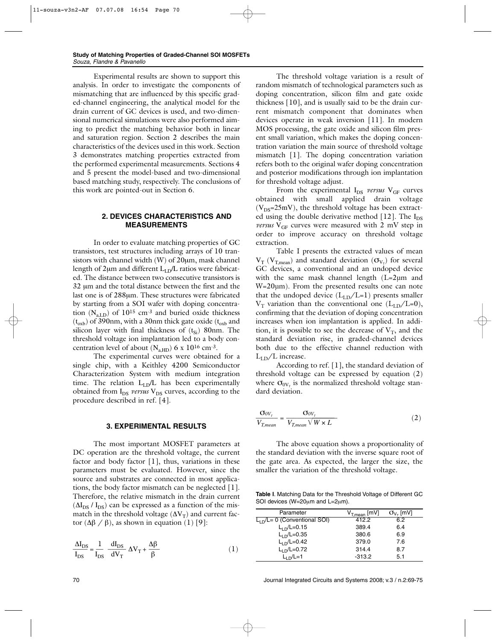Experimental results are shown to support this analysis. In order to investigate the components of mismatching that are influenced by this specific graded-channel engineering, the analytical model for the drain current of GC devices is used, and two-dimensional numerical simulations were also performed aiming to predict the matching behavior both in linear and saturation region. Section 2 describes the main characteristics of the devices used in this work. Section 3 demonstrates matching properties extracted from the performed experimental measurements. Sections 4 and 5 present the model-based and two-dimensional based matching study, respectively. The conclusions of this work are pointed-out in Section 6.

## **2. DEVICES CHARACTERISTICS AND MEASUREMENTS**

In order to evaluate matching properties of GC transistors, test structures including arrays of 10 transistors with channel width (W) of 20µm, mask channel length of  $2\mu$ m and different  $L_{LD}/L$  ratios were fabricated. The distance between two consecutive transistors is 32 µm and the total distance between the first and the last one is of 288µm. These structures were fabricated by starting from a SOI wafer with doping concentration  $(N_{aLD})$  of  $10^{15}$  cm<sup>-3</sup> and buried oxide thickness  $(t_{\rm{oxb}})$  of 390nm, with a 30nm thick gate oxide ( $t_{\rm{oxb}}$  and silicon layer with final thickness of  $(t_{Si})$  80nm. The threshold voltage ion implantation led to a body concentration level of about  $(N<sub>a HD</sub>)$  6 x 10<sup>16</sup> cm<sup>-3</sup>.

The experimental curves were obtained for a single chip, with a Keithley 4200 Semiconductor Characterization System with medium integration time. The relation  $L_{LD}/L$  has been experimentally obtained from I<sub>DS</sub> versus V<sub>DS</sub> curves, according to the procedure described in ref. [4].

### **3. EXPERIMENTAL RESULTS**

The most important MOSFET parameters at DC operation are the threshold voltage, the current factor and body factor [1], thus, variations in these parameters must be evaluated. However, since the source and substrates are connected in most applications, the body factor mismatch can be neglected [1]. Therefore, the relative mismatch in the drain current  $(\Delta I_{DS} / I_{DS})$  can be expressed as a function of the mismatch in the threshold voltage ( $\Delta V_T$ ) and current factor  $(Δβ / β)$ , as shown in equation  $(1) [9]$ :

$$
\frac{\Delta I_{DS}}{I_{DS}} = \frac{1}{I_{DS}} \frac{dI_{DS}}{dV_T} \Delta V_T + \frac{\Delta \beta}{\beta}
$$
 (1)

The threshold voltage variation is a result of random mismatch of technological parameters such as doping concentration, silicon film and gate oxide thickness [10], and is usually said to be the drain current mismatch component that dominates when devices operate in weak inversion [11]. In modern MOS processing, the gate oxide and silicon film present small variation, which makes the doping concentration variation the main source of threshold voltage mismatch [1]. The doping concentration variation refers both to the original wafer doping concentration and posterior modifications through ion implantation for threshold voltage adjust.

From the experimental I<sub>DS</sub> versus V<sub>GF</sub> curves obtained with small applied drain voltage  $(V_{DS}=25mV)$ , the threshold voltage has been extracted using the double derivative method [12]. The  $I_{DS}$ *versus*  $V_{GF}$  curves were measured with 2 mV step in order to improve accuracy on threshold voltage extraction.

Table I presents the extracted values of mean  $V_T$  ( $V_{T,mean}$ ) and standard deviation ( $\sigma_{V_T}$ ) for several GC devices, a conventional and an undoped device with the same mask channel length (L=2µm and W=20µm). From the presented results one can note that the undoped device  $(L_{LD}/L=1)$  presents smaller  $V_T$  variation than the conventional one  $(L_{LD}/L=0)$ , confirming that the deviation of doping concentration increases when ion implantation is applied. In addition, it is possible to see the decrease of  $V_T$ , and the standard deviation rise, in graded-channel devices both due to the effective channel reduction with  $L_{LD}/L$  increase.

According to ref. [1], the standard deviation of threshold voltage can be expressed by equation (2) where  $\sigma_{0V_{\tau}}$  is the normalized threshold voltage standard deviation.

$$
\frac{\sigma_{0V_{r}}}{V_{T,mean}} = \frac{\sigma_{0V_{r}}}{V_{T,mean} \sqrt{W \times L}}
$$
 (2)

The above equation shows a proportionality of the standard deviation with the inverse square root of the gate area. As expected, the larger the size, the smaller the variation of the threshold voltage.

**Table I**. Matching Data for the Threshold Voltage of Different GC SOI devices (W=20µm and L=2µm).

| Parameter                     | $V_{T,mean}$ [mV] | $\sigma_{V_{\tau}}$ [mV] |
|-------------------------------|-------------------|--------------------------|
| $L1$ /L= 0 (Conventional SOI) | 412.2             | 6.2                      |
| $L_{\rm 1D}/L$ =0.15          | 389.4             | 6.4                      |
| $L_{1D}/L=0.35$               | 380.6             | 6.9                      |
| $L_{1D}/L=0.42$               | 379.0             | 7.6                      |
| $L_{LD}/L=0.72$               | 314.4             | 8.7                      |
| $L1$ <sub>n</sub> /L=1        | $-313.2$          | 5.1                      |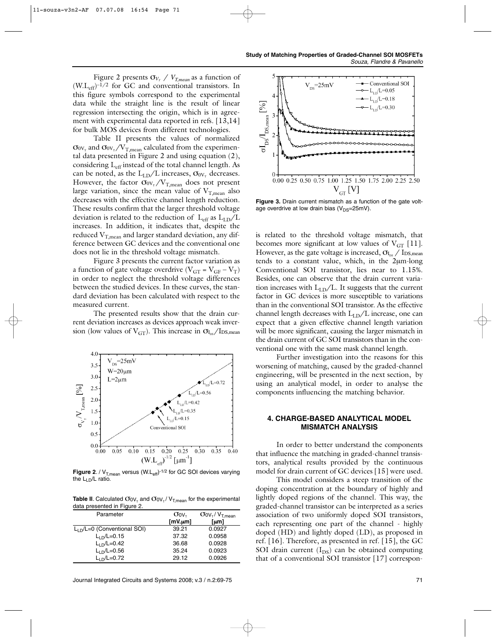Figure 2 presents  $\sigma_{V_T}$  /  $V_{T,mean}$  as a function of  $(W.L<sub>eff</sub>)<sup>-1/2</sup>$  for GC and conventional transistors. In this figure symbols correspond to the experimental data while the straight line is the result of linear regression intersecting the origin, which is in agreement with experimental data reported in refs. [13,14] for bulk MOS devices from different technologies.

Table II presents the values of normalized  $\sigma_{0V_T}$  and  $\sigma_{0V_T}/V_{T_{\text{mean}}}$  calculated from the experimental data presented in Figure 2 and using equation (2), considering L<sub>eff</sub> instead of the total channel length. As can be noted, as the  $L_{LD}/L$  increases,  $\sigma_{0V_T}$  decreases. However, the factor  $\sigma_{0V_T}/V_{T,mean}$  does not present large variation, since the mean value of  $V_{T,mean}$  also decreases with the effective channel length reduction. These results confirm that the larger threshold voltage deviation is related to the reduction of  $L_{eff}$  as  $L_{LD}/L$ increases. In addition, it indicates that, despite the reduced  $V_{T,mean}$  and larger standard deviation, any difference between GC devices and the conventional one does not lie in the threshold voltage mismatch.

Figure 3 presents the current factor variation as a function of gate voltage overdrive ( $V_{GT} = V_{GF} - V_T$ ) in order to neglect the threshold voltage differences between the studied devices. In these curves, the standard deviation has been calculated with respect to the measured current.

The presented results show that the drain current deviation increases as devices approach weak inversion (low values of  $V_{GT}$ ). This increase in  $\sigma_{I_{ps}}/I_{DS,mean}$ 



**Figure 2**. /  $V_{T,mean}$  versus  $(W.L_{eff})$ <sup>-1/2</sup> for GC SOI devices varying the LLD/L ratio.

**Table II**. Calculated  $\sigma_{0V_{\tau}}$  and  $\sigma_{0V_{\tau}}/V_{T,mean}$  for the experimental data presented in Figure 2.

| Parameter                    | $\sigma_{0V_{\tau}}$ | $O_{\text{OV}_T} / V_{\text{T} \text{mean}}$ |
|------------------------------|----------------------|----------------------------------------------|
|                              | $[mV.\mu m]$         | [µm]                                         |
| $L1$ /L=0 (Conventional SOI) | 39.21                | 0.0927                                       |
| $L1$ $L$ = 0.15              | 37.32                | 0.0958                                       |
| $L_{\rm 1D}/L$ =0.42         | 36.68                | 0.0928                                       |
| $L_{\rm 1D}/L$ =0.56         | 35.24                | 0.0923                                       |
| $L_1 \sim L = 0.72$          | 29.12                | 0.0926                                       |



**Figure 3.** Drain current mismatch as a function of the gate voltage overdrive at low drain bias ( $V_{DS}=25mV$ ).

is related to the threshold voltage mismatch, that becomes more significant at low values of  $V_{GT}$  [11]. However, as the gate voltage is increased,  $\sigma_{I_{DS}}$  / I<sub>DS,mean</sub> tends to a constant value, which, in the 2µm-long Conventional SOI transistor, lies near to 1.15%. Besides, one can observe that the drain current variation increases with  $L_{LD}/L$ . It suggests that the current factor in GC devices is more susceptible to variations than in the conventional SOI transistor. As the effective channel length decreases with  $L_{LD}/L$  increase, one can expect that a given effective channel length variation will be more significant, causing the larger mismatch in the drain current of GC SOI transistors than in the conventional one with the same mask channel length.

Further investigation into the reasons for this worsening of matching, caused by the graded-channel engineering, will be presented in the next section, by using an analytical model, in order to analyse the components influencing the matching behavior.

### **4. CHARGE-BASED ANALYTICAL MODEL MISMATCH ANALYSIS**

In order to better understand the components that influence the matching in graded-channel transistors, analytical results provided by the continuous model for drain current of GC devices [15] were used.

This model considers a steep transition of the doping concentration at the boundary of highly and lightly doped regions of the channel. This way, the graded-channel transistor can be interpreted as a series association of two uniformly doped SOI transistors, each representing one part of the channel - highly doped (HD) and lightly doped (LD), as proposed in ref. [16]. Therefore, as presented in ref. [15], the GC SOI drain current  $(I_{DS})$  can be obtained computing that of a conventional SOI transistor [17] correspon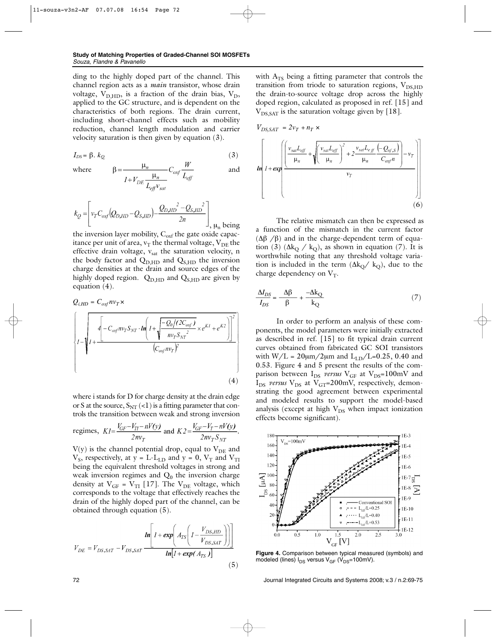ding to the highly doped part of the channel. This channel region acts as a *main* transistor, whose drain voltage,  $V_{D,HD}$ , is a fraction of the drain bias,  $V_D$ , applied to the GC structure, and is dependent on the characteristics of both regions. The drain current, including short-channel effects such as mobility reduction, channel length modulation and carrier velocity saturation is then given by equation (3).

$$
I_{DS} = \beta. \ k_{Q} \tag{3}
$$

$$
I_{DS} = \beta. k_{Q}
$$
 (3)  
where 
$$
\beta = \frac{\mu_{n}}{I + V_{DE} \frac{\mu_{n}}{L_{eff} v_{sat}} C_{oxf} \frac{W}{L_{eff}}}
$$
 and

$$
k_Q = \left[ v_T C_{oxf} (Q_{D,HD} - Q_{S,HD}) - \frac{Q_{D,HD}^2 - Q_{S,HD}^2}{2n} \right], \mu_n \text{ being}
$$

the inversion layer mobility,  $C_{\text{oxf}}$  the gate oxide capacitance per unit of area,  $v_T$  the thermal voltage,  $V_{DE}$  the effective drain voltage,  $v_{sat}$  the saturation velocity, n the body factor and  $Q_{D,HD}$  and  $Q_{S,HD}$  the inversion charge densities at the drain and source edges of the highly doped region.  $Q_{D,HD}$  and  $Q_{S,HD}$  are given by equation (4).

$$
Q_{i,HD} = C_{oxf} n v_T \times
$$
\n
$$
\left\{ I - \sqrt{I + \frac{\left( \int_{-1}^{1} C_{oxf} n v_T S_{NT} \cdot \ln \left( I + \sqrt{\frac{-Q_0 / (2C_{oxf})}{n v_T S_{NT}^2}} \times e^{K I} + e^{K 2} \right) \right)^2}{(C_{oxf} n v_T)^2} \right\}}
$$
\n
$$
(4)
$$

where i stands for D for charge density at the drain edge or S at the source,  $S_{NT}$  (<1) is a fitting parameter that controls the transition between weak and strong inversion

regimes, 
$$
KI = \frac{V_{GF} - V_{TI} - nV(y)}{2nv_T}
$$
 and  $K2 = \frac{V_{GF} - V_T - nV(y)}{2nv_T S_{NT}}$ .

 $V(y)$  is the channel potential drop, equal to  $V_{DE}$  and  $V_s$ , respectively, at y = L-L<sub>LD</sub> and y = 0,  $V_T$  and  $V_{TT}$ being the equivalent threshold voltages in strong and weak inversion regimes and  $Q_0$  the inversion charge density at  $V_{GF} = V_{TI}$  [17]. The  $V_{DE}$  voltage, which corresponds to the voltage that effectively reaches the drain of the highly doped part of the channel, can be obtained through equation (5).

$$
V_{DE} = V_{DS,SAT} - V_{DS,SAT} \frac{\ln\left[1 + \exp\left(A_{TS}\left(1 - \frac{V_{DS,HD}}{V_{DS,SAT}}\right)\right)\right]}{\ln\left[1 + \exp(A_{TS})\right]}
$$
(5)

with  $A<sub>TS</sub>$  being a fitting parameter that controls the transition from triode to saturation regions,  $V_{DS}$  HD the drain-to-source voltage drop across the highly doped region, calculated as proposed in ref. [15] and  $V_{DS, SAT}$  is the saturation voltage given by [18].

$$
V_{DS,SAT} = 2v_T + n_T \times
$$
\n
$$
\ln \left[ 1 + \exp \left( \frac{v_{sat} L_{eff}}{\mu_n} + \sqrt{\frac{v_{sat} L_{eff}}{\mu_n}} \right)^2 + 2 \frac{v_{sat} L_{eff}}{\mu_n} \frac{(-Q_{nf,S})}{C_{oxf} n} - v_T \right]
$$
\n
$$
v_T
$$
\n(6)

The relative mismatch can then be expressed as a function of the mismatch in the current factor  $(Δβ /β)$  and in the charge-dependent term of equation (3) ( $\Delta k_Q / k_Q$ ), as shown in equation (7). It is worthwhile noting that any threshold voltage variation is included in the term  $(\Delta k_O / k_O)$ , due to the charge dependency on  $V_T$ .

$$
\frac{\Delta I_{DS}}{I_{DS}} = \frac{\Delta \beta}{\beta} + \frac{-\Delta k_Q}{k_Q} \tag{7}
$$

In order to perform an analysis of these components, the model parameters were initially extracted as described in ref. [15] to fit typical drain current curves obtained from fabricated GC SOI transistors with  $W/L = 20 \mu m / 2 \mu m$  and  $L_{LD}/L = 0.25$ , 0.40 and 0.53. Figure 4 and 5 present the results of the comparison between  $I_{DS}$  *versus*  $V_{GF}$  at  $V_{DS}=100mV$  and  $I_{DS}$  *versus*  $V_{DS}$  at  $V_{GT}$ =200mV, respectively, demonstrating the good agreement between experimental and modeled results to support the model-based analysis (except at high  $V_{DS}$  when impact ionization effects become significant).



**Figure 4.** Comparison between typical measured (symbols) and modeled (lines)  $I_{DS}$  versus  $V_{GF}$  ( $V_{DS}=100$ mV).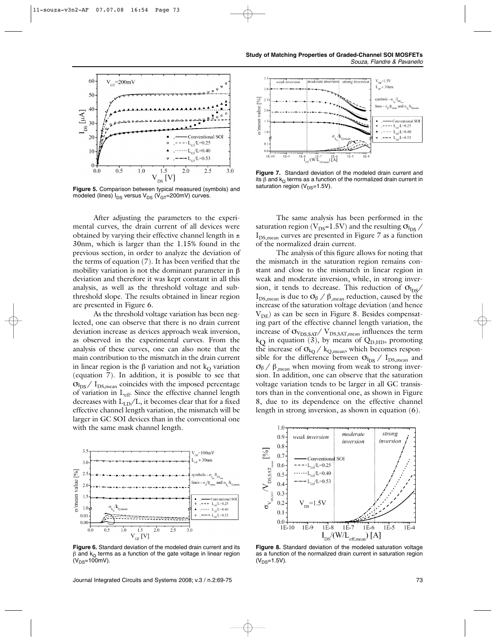

**Figure 5.** Comparison between typical measured (symbols) and modeled (lines)  $I_{DS}$  versus  $V_{DS}$  ( $V_{GT}$ =200mV) curves.

After adjusting the parameters to the experimental curves, the drain current of all devices were obtained by varying their effective channel length in  $\pm$ 30nm, which is larger than the 1.15% found in the previous section, in order to analyze the deviation of the terms of equation (7). It has been verified that the mobility variation is not the dominant parameter in β deviation and therefore it was kept constant in all this analysis, as well as the threshold voltage and subthreshold slope. The results obtained in linear region are presented in Figure 6.

As the threshold voltage variation has been neglected, one can observe that there is no drain current deviation increase as devices approach weak inversion, as observed in the experimental curves. From the analysis of these curves, one can also note that the main contribution to the mismatch in the drain current in linear region is the β variation and not  $k<sub>O</sub>$  variation (equation 7). In addition, it is possible to see that  $\sigma_{\text{I}_{\text{DS}}}/\text{I}_{\text{DS,mean}}$  coincides with the imposed percentage of variation in  $L_{eff}$ . Since the effective channel length decreases with  $L_{LD}/L$ , it becomes clear that for a fixed effective channel length variation, the mismatch will be larger in GC SOI devices than in the conventional one with the same mask channel length.



**Figure 6.** Standard deviation of the modeled drain current and its  $β$  and  $k<sub>Q</sub>$  terms as a function of the gate voltage in linear region  $(V_{DS}=100$ mV).

Journal Integrated Circuits and Systems 2008; v.3 / n.2:69-75 73



**Figure 7.** Standard deviation of the modeled drain current and its β and  $k<sub>0</sub>$  terms as a function of the normalized drain current in saturation region ( $V_{DS}=1.5V$ ).

The same analysis has been performed in the saturation region (V<sub>DS</sub>=1.5V) and the resulting  $\sigma_{\text{I_{DS}}}$  / I<sub>DS,mean</sub> curves are presented in Figure 7 as a function of the normalized drain current.

The analysis of this figure allows for noting that the mismatch in the saturation region remains constant and close to the mismatch in linear region in weak and moderate inversion, while, in strong inversion, it tends to decrease. This reduction of  $\sigma_{\text{I}_\text{DS}}/$ I<sub>DS,mean</sub> is due to  $\sigma_{\beta}$  / β<sub>,mean</sub> reduction, caused by the increase of the saturation voltage deviation (and hence  $V_{DE}$ ) as can be seen in Figure 8. Besides compensating part of the effective channel length variation, the increase of  $\sigma_{V_{DS,SAT}}/V_{DS,SAT,mean}$  influences the term  $k_{\Omega}$  in equation (3), by means of Q<sub>D,HD</sub>, promoting the increase of  $\sigma_{k_Q}$  /  $k_{Q,mean}$ , which becomes responsible for the difference between  $\sigma_{I_{DS}}/ I_{DS,mean}$  and  $σ<sub>β</sub> / β<sub>mean</sub> when moving from weak to strong inver$ sion. In addition, one can observe that the saturation voltage variation tends to be larger in all GC transistors than in the conventional one, as shown in Figure 8, due to its dependence on the effective channel length in strong inversion, as shown in equation (6).



**Figure 8.** Standard deviation of the modeled saturation voltage as a function of the normalized drain current in saturation region  $(V_{DS}=1.5V)$ .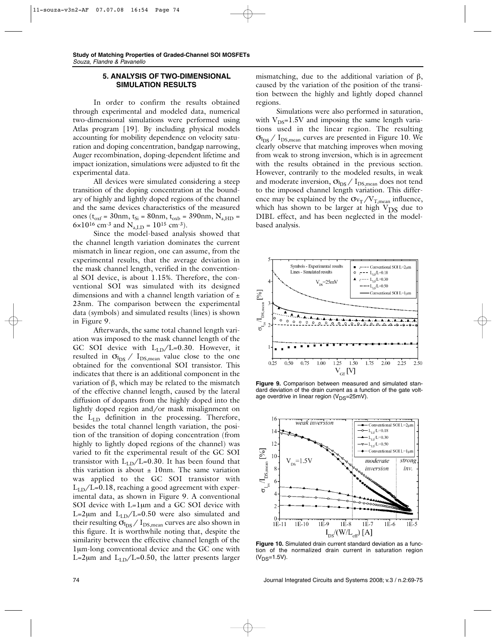## **5. ANALYSIS OF TWO-DIMENSIONAL SIMULATION RESULTS**

In order to confirm the results obtained through experimental and modeled data, numerical two-dimensional simulations were performed using Atlas program [19]. By including physical models accounting for mobility dependence on velocity saturation and doping concentration, bandgap narrowing, Auger recombination, doping-dependent lifetime and impact ionization, simulations were adjusted to fit the experimental data.

All devices were simulated considering a steep transition of the doping concentration at the boundary of highly and lightly doped regions of the channel and the same devices characteristics of the measured ones ( $t_{oxf}$  = 30nm,  $t_{Si}$  = 80nm,  $t_{oxb}$  = 390nm,  $N_{a,HD}$  = 6×10<sup>16</sup> cm<sup>-3</sup> and N<sub>a,LD</sub> = 10<sup>15</sup> cm<sup>-3</sup>).

Since the model-based analysis showed that the channel length variation dominates the current mismatch in linear region, one can assume, from the experimental results, that the average deviation in the mask channel length, verified in the conventional SOI device, is about 1.15%. Therefore, the conventional SOI was simulated with its designed dimensions and with a channel length variation of  $\pm$ 23nm. The comparison between the experimental data (symbols) and simulated results (lines) is shown in Figure 9.

Afterwards, the same total channel length variation was imposed to the mask channel length of the GC SOI device with  $L_{LD}/L=0.30$ . However, it resulted in  $\sigma_{I_{DS}}$  /  $I_{DS,mean}$  value close to the one obtained for the conventional SOI transistor. This indicates that there is an additional component in the variation of β, which may be related to the mismatch of the effective channel length, caused by the lateral diffusion of dopants from the highly doped into the lightly doped region and/or mask misalignment on the  $L_{LD}$  definition in the processing. Therefore, besides the total channel length variation, the position of the transition of doping concentration (from highly to lightly doped regions of the channel) was varied to fit the experimental result of the GC SOI transistor with  $L_{LD}/L=0.30$ . It has been found that this variation is about  $\pm$  10nm. The same variation was applied to the GC SOI transistor with  $L_{LD}/L=0.18$ , reaching a good agreement with experimental data, as shown in Figure 9. A conventional SOI device with L=1µm and a GC SOI device with L=2 $\mu$ m and L<sub>LD</sub>/L=0.50 were also simulated and their resulting  $\sigma_{I_{DS}}/I_{DS,mean}$  curves are also shown in this figure. It is worthwhile noting that, despite the similarity between the effective channel length of the 1µm-long conventional device and the GC one with L=2 $\mu$ m and L<sub>LD</sub>/L=0.50, the latter presents larger

mismatching, due to the additional variation of  $\beta$ , caused by the variation of the position of the transition between the highly and lightly doped channel regions.

Simulations were also performed in saturation, with  $V_{DS}=1.5V$  and imposing the same length variations used in the linear region. The resulting  $\sigma_{I_{DS}}$  /  $I_{DS,mean}$  curves are presented in Figure 10. We clearly observe that matching improves when moving from weak to strong inversion, which is in agreement with the results obtained in the previous section. However, contrarily to the modeled results, in weak and moderate inversion,  $\sigma_{\rm I_{DS}}/$   $\rm I_{DS,mean}$  does not tend to the imposed channel length variation. This difference may be explained by the  $\sigma_{V_T}/V_{T,mean}$  influence, which has shown to be larger at high  $V_{DS}$  due to DIBL effect, and has been neglected in the modelbased analysis.



**Figure 9.** Comparison between measured and simulated standard deviation of the drain current as a function of the gate voltage overdrive in linear region ( $V_{DS}=25$ mV).



**Figure 10.** Simulated drain current standard deviation as a function of the normalized drain current in saturation region  $(V_{DS}=1.5V)$ .